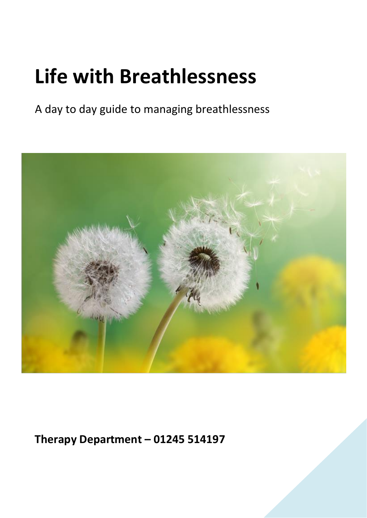# **Life with Breathlessness**

A day to day guide to managing breathlessness



**Therapy Department – 01245 514197**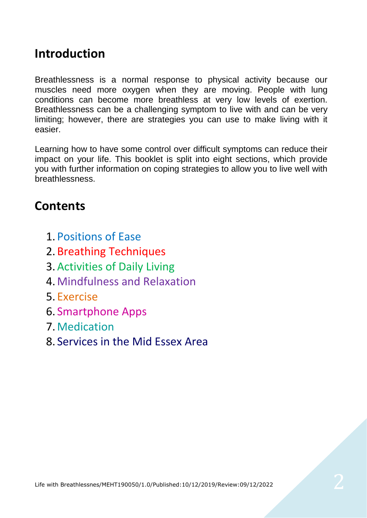### **Introduction**

Breathlessness is a normal response to physical activity because our muscles need more oxygen when they are moving. People with lung conditions can become more breathless at very low levels of exertion. Breathlessness can be a challenging symptom to live with and can be very limiting; however, there are strategies you can use to make living with it easier.

Learning how to have some control over difficult symptoms can reduce their impact on your life. This booklet is split into eight sections, which provide you with further information on coping strategies to allow you to live well with breathlessness.

### **Contents**

- 1. Positions of Ease
- 2. Breathing Techniques
- 3.Activities of Daily Living
- 4.Mindfulness and Relaxation
- 5. Exercise
- 6. Smartphone Apps
- 7.Medication
- 8. Services in the Mid Essex Area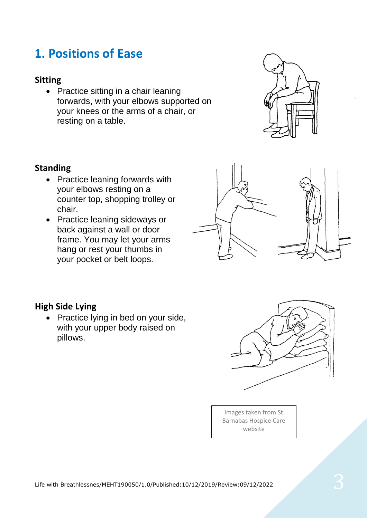### **1. Positions of Ease**

#### **Sitting**

• Practice sitting in a chair leaning forwards, with your elbows supported on your knees or the arms of a chair, or resting on a table.



#### **Standing**

- Practice leaning forwards with your elbows resting on a counter top, shopping trolley or chair.
- Practice leaning sideways or back against a wall or door frame. You may let your arms hang or rest your thumbs in your pocket or belt loops.



#### **High Side Lying**

• Practice lying in bed on your side, with your upper body raised on pillows.



Images taken from St Barnabas Hospice Care website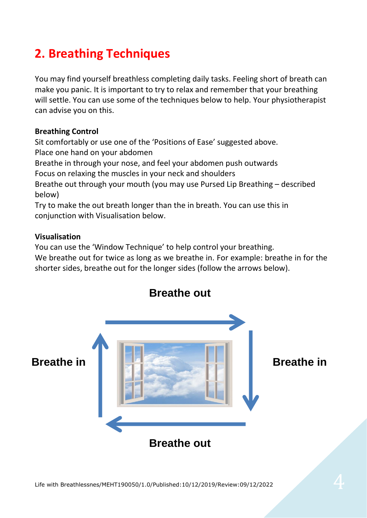### **2. Breathing Techniques**

You may find yourself breathless completing daily tasks. Feeling short of breath can make you panic. It is important to try to relax and remember that your breathing will settle. You can use some of the techniques below to help. Your physiotherapist can advise you on this.

#### **Breathing Control**

Sit comfortably or use one of the 'Positions of Ease' suggested above. Place one hand on your abdomen

Breathe in through your nose, and feel your abdomen push outwards Focus on relaxing the muscles in your neck and shoulders

Breathe out through your mouth (you may use Pursed Lip Breathing – described below)

Try to make the out breath longer than the in breath. You can use this in conjunction with Visualisation below.

#### **Visualisation**

You can use the 'Window Technique' to help control your breathing.

We breathe out for twice as long as we breathe in. For example: breathe in for the shorter sides, breathe out for the longer sides (follow the arrows below).

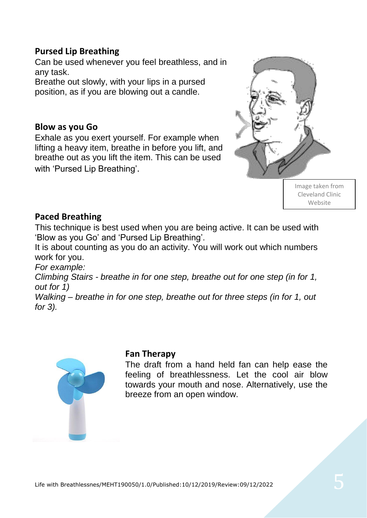#### **Pursed Lip Breathing**

Can be used whenever you feel breathless, and in any task.

Breathe out slowly, with your lips in a pursed position, as if you are blowing out a candle.

#### **Blow as you Go**

Exhale as you exert yourself. For example when lifting a heavy item, breathe in before you lift, and breathe out as you lift the item. This can be used with 'Pursed Lip Breathing'.



Image taken from Cleveland Clinic Website

#### **Paced Breathing**

This technique is best used when you are being active. It can be used with 'Blow as you Go' and 'Pursed Lip Breathing'.

It is about counting as you do an activity. You will work out which numbers work for you.

*For example:*

*Climbing Stairs - breathe in for one step, breathe out for one step (in for 1, out for 1)*

*Walking – breathe in for one step, breathe out for three steps (in for 1, out for 3).*



#### **Fan Therapy**

The draft from a hand held fan can help ease the feeling of breathlessness. Let the cool air blow towards your mouth and nose. Alternatively, use the breeze from an open window.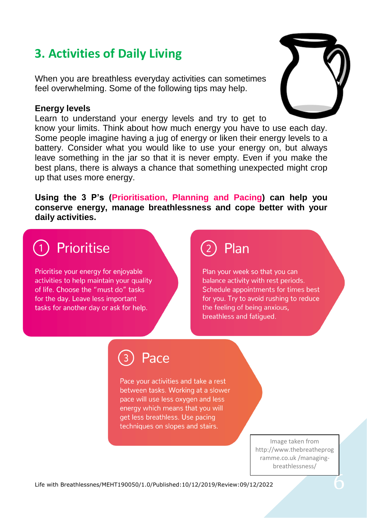### **3. Activities of Daily Living**

When you are breathless everyday activities can sometimes feel overwhelming. Some of the following tips may help.

#### **Energy levels**

Learn to understand your energy levels and try to get to

know your limits. Think about how much energy you have to use each day. Some people imagine having a jug of energy or liken their energy levels to a battery. Consider what you would like to use your energy on, but always leave something in the jar so that it is never empty. Even if you make the best plans, there is always a chance that something unexpected might crop up that uses more energy.

**Using the 3 P's (Prioritisation, Planning and Pacing) can help you conserve energy, manage breathlessness and cope better with your daily activities.** 

# Prioritise

Prioritise your energy for enjoyable activities to help maintain your quality of life. Choose the "must do" tasks for the day. Leave less important tasks for another day or ask for help.

## Plan

Plan your week so that you can balance activity with rest periods. Schedule appointments for times best for you. Try to avoid rushing to reduce the feeling of being anxious, breathless and fatiqued.

Pace

Pace your activities and take a rest between tasks. Working at a slower pace will use less oxygen and less energy which means that you will get less breathless. Use pacing techniques on slopes and stairs.

> Image taken from http://www.thebreatheprog ramme.co.uk /managingbreathlessness/





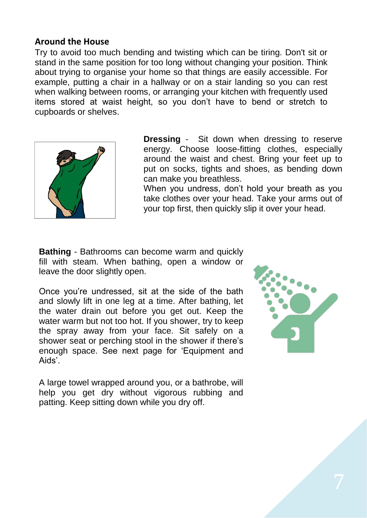#### **Around the House**

Try to avoid too much bending and twisting which can be tiring. Don't sit or stand in the same position for too long without changing your position. Think about trying to organise your home so that things are easily accessible. For example, putting a chair in a hallway or on a stair landing so you can rest when walking between rooms, or arranging your kitchen with frequently used items stored at waist height, so you don't have to bend or stretch to cupboards or shelves.



**Dressing** *-* Sit down when dressing to reserve energy. Choose loose-fitting clothes, especially around the waist and chest. Bring your feet up to put on socks, tights and shoes, as bending down can make you breathless.

When you undress, don't hold your breath as you take clothes over your head. Take your arms out of your top first, then quickly slip it over your head.

**Bathing** *-* Bathrooms can become warm and quickly fill with steam. When bathing, open a window or leave the door slightly open.

Once you're undressed, sit at the side of the bath and slowly lift in one leg at a time. After bathing, let the water drain out before you get out. Keep the water warm but not too hot. If you shower, try to keep the spray away from your face. Sit safely on a shower seat or perching stool in the shower if there's enough space. See next page for 'Equipment and Aids'.

A large towel wrapped around you, or a bathrobe, will help you get dry without vigorous rubbing and patting. Keep sitting down while you dry off.

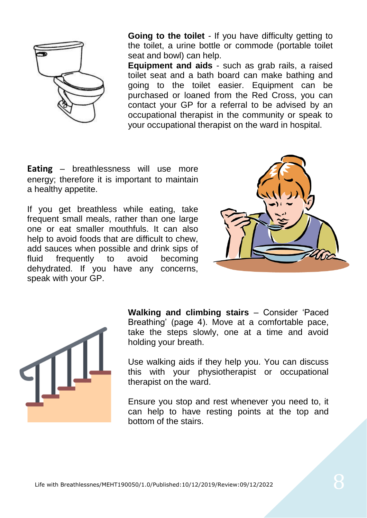

**Going to the toilet** *-* If you have difficulty getting to the toilet, a urine bottle or commode (portable toilet seat and bowl) can help.

**Equipment and aids** - such as grab rails, a raised toilet seat and a bath board can make bathing and going to the toilet easier. Equipment can be purchased or loaned from the Red Cross, you can contact your GP for a referral to be advised by an occupational therapist in the community or speak to your occupational therapist on the ward in hospital.

**Eating** – breathlessness will use more energy; therefore it is important to maintain a healthy appetite.

If you get breathless while eating, take frequent small meals, rather than one large one or eat smaller mouthfuls. It can also help to avoid foods that are difficult to chew, add sauces when possible and drink sips of fluid frequently to avoid becoming dehydrated. If you have any concerns, speak with your GP.





**Walking and climbing stairs** – Consider 'Paced Breathing' (page 4). Move at a comfortable pace, take the steps slowly, one at a time and avoid holding your breath.

Use walking aids if they help you. You can discuss this with your physiotherapist or occupational therapist on the ward.

Ensure you stop and rest whenever you need to, it can help to have resting points at the top and bottom of the stairs.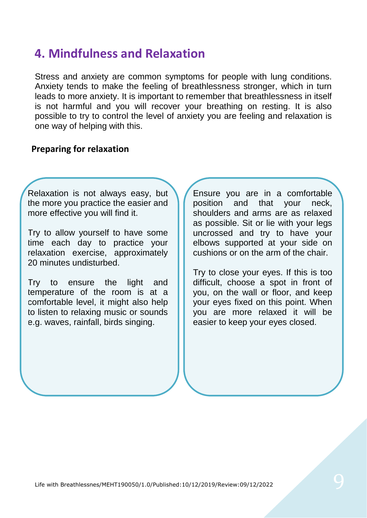### **4. Mindfulness and Relaxation**

Stress and anxiety are common symptoms for people with lung conditions. Anxiety tends to make the feeling of breathlessness stronger, which in turn leads to more anxiety. It is important to remember that breathlessness in itself is not harmful and you will recover your breathing on resting. It is also possible to try to control the level of anxiety you are feeling and relaxation is one way of helping with this.

#### **Preparing for relaxation**

Relaxation is not always easy, but the more you practice the easier and more effective you will find it.

Try to allow yourself to have some time each day to practice your relaxation exercise, approximately 20 minutes undisturbed.

Try to ensure the light and temperature of the room is at a comfortable level, it might also help to listen to relaxing music or sounds e.g. waves, rainfall, birds singing.

Ensure you are in a comfortable position and that your neck, shoulders and arms are as relaxed as possible. Sit or lie with your legs uncrossed and try to have your elbows supported at your side on cushions or on the arm of the chair.

Try to close your eyes. If this is too difficult, choose a spot in front of you, on the wall or floor, and keep your eyes fixed on this point. When you are more relaxed it will be easier to keep your eyes closed.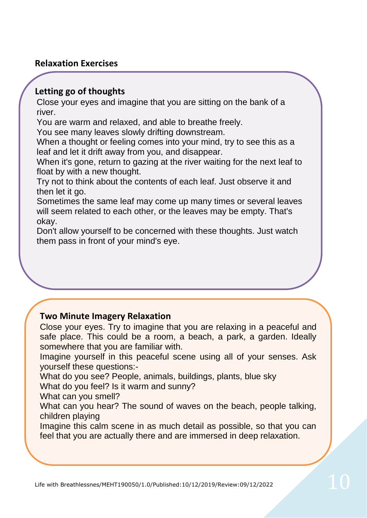#### **Relaxation Exercises**

#### **Letting go of thoughts**

Close your eyes and imagine that you are sitting on the bank of a river.

You are warm and relaxed, and able to breathe freely.

You see many leaves slowly drifting downstream.

When a thought or feeling comes into your mind, try to see this as a leaf and let it drift away from you, and disappear.

When it's gone, return to gazing at the river waiting for the next leaf to float by with a new thought.

Try not to think about the contents of each leaf. Just observe it and then let it go.

Sometimes the same leaf may come up many times or several leaves will seem related to each other, or the leaves may be empty. That's okay.

Don't allow yourself to be concerned with these thoughts. Just watch them pass in front of your mind's eye.

#### **Two Minute Imagery Relaxation**

Close your eyes. Try to imagine that you are relaxing in a peaceful and safe place. This could be a room, a beach, a park, a garden. Ideally somewhere that you are familiar with.

Imagine yourself in this peaceful scene using all of your senses. Ask yourself these questions:-

What do you see? People, animals, buildings, plants, blue sky

What do you feel? Is it warm and sunny?

What can you smell?

What can you hear? The sound of waves on the beach, people talking, children playing

Imagine this calm scene in as much detail as possible, so that you can feel that you are actually there and are immersed in deep relaxation.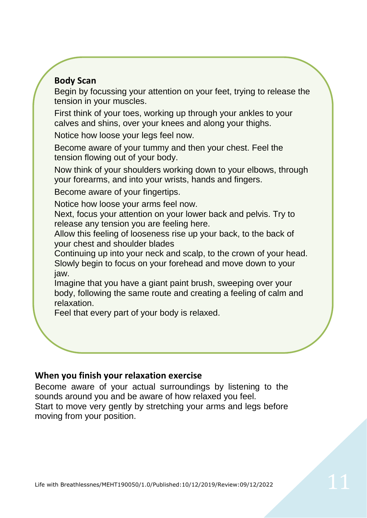#### **Body Scan**

Begin by focussing your attention on your feet, trying to release the tension in your muscles.

First think of your toes, working up through your ankles to your calves and shins, over your knees and along your thighs.

Notice how loose your legs feel now.

Become aware of your tummy and then your chest. Feel the tension flowing out of your body.

Now think of your shoulders working down to your elbows, through your forearms, and into your wrists, hands and fingers.

Become aware of your fingertips.

Notice how loose your arms feel now.

Next, focus your attention on your lower back and pelvis. Try to release any tension you are feeling here.

Allow this feeling of looseness rise up your back, to the back of your chest and shoulder blades

Continuing up into your neck and scalp, to the crown of your head. Slowly begin to focus on your forehead and move down to your jaw.

Imagine that you have a giant paint brush, sweeping over your body, following the same route and creating a feeling of calm and relaxation.

Feel that every part of your body is relaxed.

#### **When you finish your relaxation exercise**

Become aware of your actual surroundings by listening to the sounds around you and be aware of how relaxed you feel. Start to move very gently by stretching your arms and legs before moving from your position.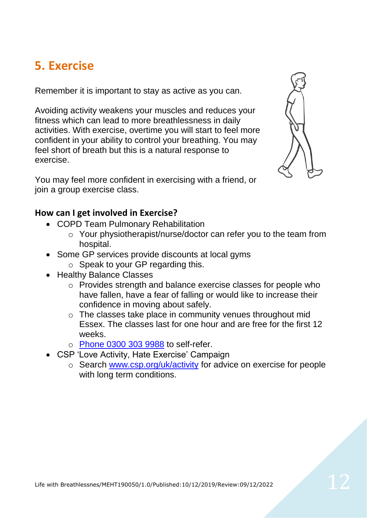### **5. Exercise**

Remember it is important to stay as active as you can.

Avoiding activity weakens your muscles and reduces your fitness which can lead to more breathlessness in daily activities. With exercise, overtime you will start to feel more confident in your ability to control your breathing. You may feel short of breath but this is a natural response to exercise.

You may feel more confident in exercising with a friend, or join a group exercise class.

#### **How can I get involved in Exercise?**

- COPD Team Pulmonary Rehabilitation
	- o Your physiotherapist/nurse/doctor can refer you to the team from hospital.
- Some GP services provide discounts at local gyms
	- $\circ$  Speak to your GP regarding this.
- Healthy Balance Classes
	- o Provides strength and balance exercise classes for people who have fallen, have a fear of falling or would like to increase their confidence in moving about safely.
	- o The classes take place in community venues throughout mid Essex. The classes last for one hour and are free for the first 12 weeks.
	- o Phone 0300 303 9988 to self-refer.
- CSP 'Love Activity, Hate Exercise' Campaign
	- o Search [www.csp.org/uk/activity](http://www.csp.org/uk/activity) for advice on exercise for people with long term conditions.

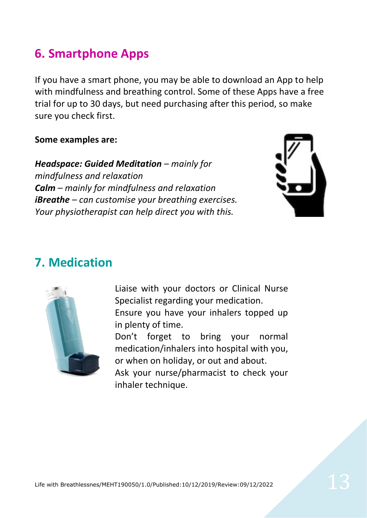### **6. Smartphone Apps**

If you have a smart phone, you may be able to download an App to help with mindfulness and breathing control. Some of these Apps have a free trial for up to 30 days, but need purchasing after this period, so make sure you check first.

#### **Some examples are:**

*Headspace: Guided Meditation – mainly for mindfulness and relaxation Calm – mainly for mindfulness and relaxation iBreathe – can customise your breathing exercises. Your physiotherapist can help direct you with this.*



### **7. Medication**



Liaise with your doctors or Clinical Nurse Specialist regarding your medication. Ensure you have your inhalers topped up in plenty of time. Don't forget to bring your normal medication/inhalers into hospital with you, or when on holiday, or out and about. Ask your nurse/pharmacist to check your

inhaler technique.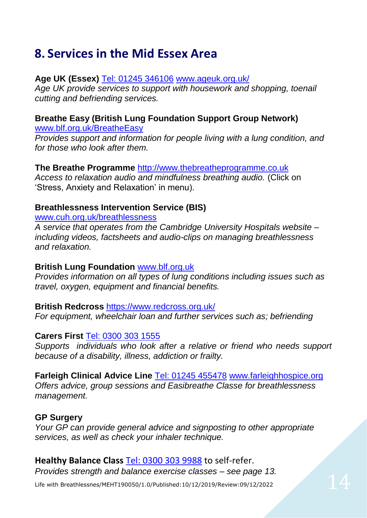### **8. Services in the Mid Essex Area**

#### **Age UK (Essex)** Tel: 01245 346106 [www.ageuk.org.uk/](http://www.ageuk.org.uk/)

*Age UK provide services to support with housework and shopping, toenail cutting and befriending services.*

### **Breathe Easy (British Lung Foundation Support Group Network)**

[www.blf.org.uk/BreatheEasy](http://www.blf.org.uk/BreatheEasy)

*Provides support and information for people living with a lung condition, and for those who look after them.*

#### **The Breathe Programme** [http://www.thebreatheprogramme.co.uk](http://www.thebreatheprogramme.co.uk/)

*Access to relaxation audio and mindfulness breathing audio.* (Click on 'Stress, Anxiety and Relaxation' in menu).

#### **Breathlessness Intervention Service (BIS)**

[www.cuh.org.uk/breathlessness](http://www.cuh.org.uk/breathlessness)

*A service that operates from the Cambridge University Hospitals website – including videos, factsheets and audio-clips on managing breathlessness and relaxation.* 

#### **British Lung Foundation** [www.blf.org.uk](http://www.blf.org.uk/)

*Provides information on all types of lung conditions including issues such as travel, oxygen, equipment and financial benefits.*

#### **British Redcross** <https://www.redcross.org.uk/>

*For equipment, wheelchair loan and further services such as; befriending* 

#### **Carers First** Tel: 0300 303 1555

*Supports individuals who look after a relative or friend who needs support because of a disability, illness, addiction or frailty.*

**Farleigh Clinical Advice Line Tel: 01245 455478 [www.farleighhospice.org](http://www.farleighhospice.org/)** *Offers advice, group sessions and Easibreathe Classe for breathlessness management.*

#### **GP Surgery**

*Your GP can provide general advice and signposting to other appropriate services, as well as check your inhaler technique.*

#### **Healthy Balance Class** Tel: 0300 303 9988 to self-refer.

*Provides strength and balance exercise classes – see page 13.*

Life with Breathlessnes/MEHT190050/1.0/Published:10/12/2019/Review:09/12/2022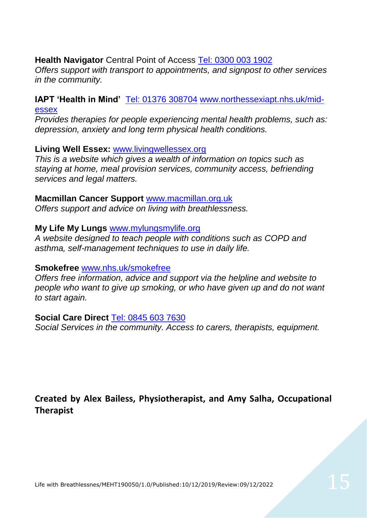#### **Health Navigator** Central Point of Access Tel: 0300 003 1902

*Offers support with transport to appointments, and signpost to other services in the community.*

#### **IAPT 'Health in Mind'** Tel: 01376 308704 [www.northessexiapt.nhs.uk/mid](http://www.northessexiapt.nhs.uk/mid-essex)[essex](http://www.northessexiapt.nhs.uk/mid-essex)

*Provides therapies for people experiencing mental health problems, such as: depression, anxiety and long term physical health conditions.*

#### **Living Well Essex:** [www.livingwellessex.org](http://www.livingwellessex.org/)

*This is a website which gives a wealth of information on topics such as staying at home, meal provision services, community access, befriending services and legal matters.*

#### **Macmillan Cancer Support** [www.macmillan.org.uk](http://www.macmillan.org.uk/)

*Offers support and advice on living with breathlessness.*

#### **My Life My Lungs** www.mylungsmylife.org

*A website designed to teach people with conditions such as COPD and asthma, self-management techniques to use in daily life.*

#### **Smokefree** www.nhs.uk/smokefree

*Offers free information, advice and support via the helpline and website to people who want to give up smoking, or who have given up and do not want to start again.*

#### **Social Care Direct** Tel: 0845 603 7630

*Social Services in the community. Access to carers, therapists, equipment.*

**Created by Alex Bailess, Physiotherapist, and Amy Salha, Occupational Therapist**